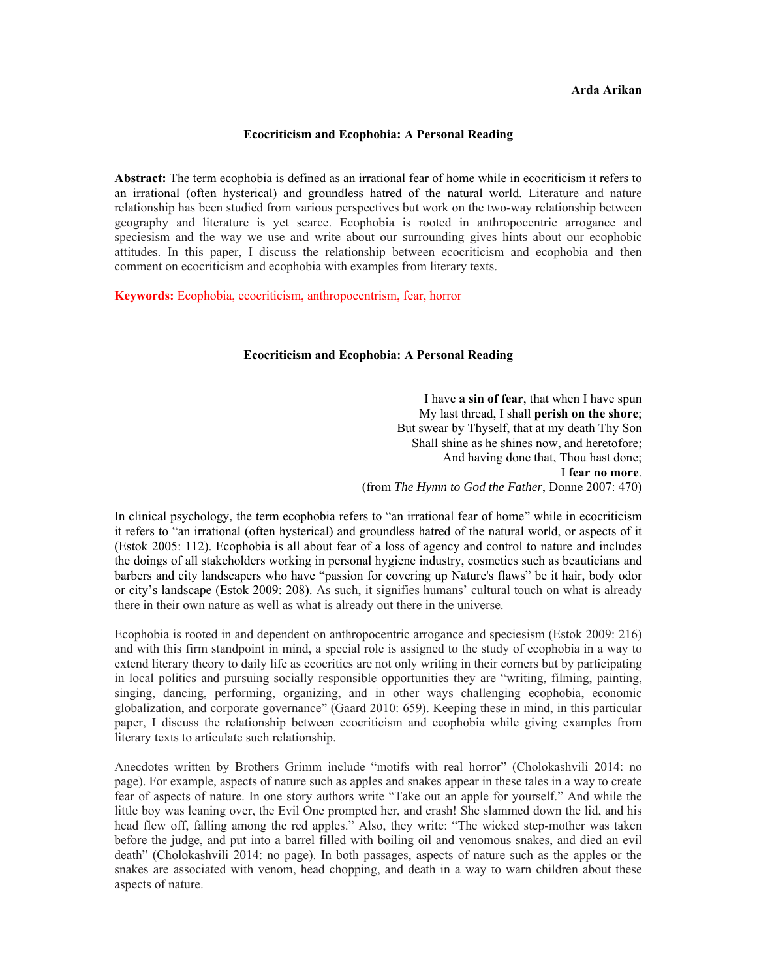## **Arda Arikan**

## **Ecocriticism and Ecophobia: A Personal Reading**

**Abstract:** The term ecophobia is defined as an irrational fear of home while in ecocriticism it refers to an irrational (often hysterical) and groundless hatred of the natural world. Literature and nature relationship has been studied from various perspectives but work on the two-way relationship between geography and literature is yet scarce. Ecophobia is rooted in anthropocentric arrogance and speciesism and the way we use and write about our surrounding gives hints about our ecophobic attitudes. In this paper, I discuss the relationship between ecocriticism and ecophobia and then comment on ecocriticism and ecophobia with examples from literary texts.

**Keywords:** Ecophobia, ecocriticism, anthropocentrism, fear, horror

## **Ecocriticism and Ecophobia: A Personal Reading**

I have **a sin of fear**, that when I have spun My last thread, I shall **perish on the shore**; But swear by Thyself, that at my death Thy Son Shall shine as he shines now, and heretofore; And having done that, Thou hast done; I **fear no more**. (from *The Hymn to God the Father*, Donne 2007: 470)

In clinical psychology, the term ecophobia refers to "an irrational fear of home" while in ecocriticism it refers to "an irrational (often hysterical) and groundless hatred of the natural world, or aspects of it (Estok 2005: 112). Ecophobia is all about fear of a loss of agency and control to nature and includes the doings of all stakeholders working in personal hygiene industry, cosmetics such as beauticians and barbers and city landscapers who have "passion for covering up Nature's flaws" be it hair, body odor or city's landscape (Estok 2009: 208). As such, it signifies humans' cultural touch on what is already there in their own nature as well as what is already out there in the universe.

Ecophobia is rooted in and dependent on anthropocentric arrogance and speciesism (Estok 2009: 216) and with this firm standpoint in mind, a special role is assigned to the study of ecophobia in a way to extend literary theory to daily life as ecocritics are not only writing in their corners but by participating in local politics and pursuing socially responsible opportunities they are "writing, filming, painting, singing, dancing, performing, organizing, and in other ways challenging ecophobia, economic globalization, and corporate governance" (Gaard 2010: 659). Keeping these in mind, in this particular paper, I discuss the relationship between ecocriticism and ecophobia while giving examples from literary texts to articulate such relationship.

Anecdotes written by Brothers Grimm include "motifs with real horror" (Cholokashvili 2014: no page). For example, aspects of nature such as apples and snakes appear in these tales in a way to create fear of aspects of nature. In one story authors write "Take out an apple for yourself." And while the little boy was leaning over, the Evil One prompted her, and crash! She slammed down the lid, and his head flew off, falling among the red apples." Also, they write: "The wicked step-mother was taken before the judge, and put into a barrel filled with boiling oil and venomous snakes, and died an evil death" (Cholokashvili 2014: no page). In both passages, aspects of nature such as the apples or the snakes are associated with venom, head chopping, and death in a way to warn children about these aspects of nature.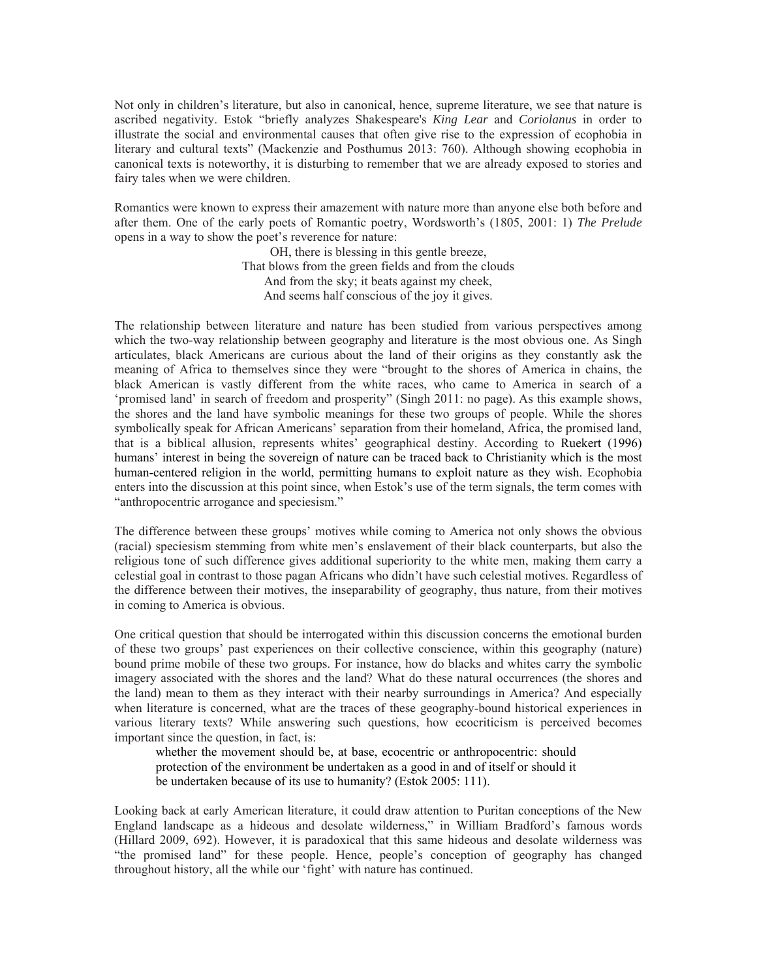Not only in children's literature, but also in canonical, hence, supreme literature, we see that nature is ascribed negativity. Estok "briefly analyzes Shakespeare's *King Lear* and *Coriolanus* in order to illustrate the social and environmental causes that often give rise to the expression of ecophobia in literary and cultural texts" (Mackenzie and Posthumus 2013: 760). Although showing ecophobia in canonical texts is noteworthy, it is disturbing to remember that we are already exposed to stories and fairy tales when we were children.

Romantics were known to express their amazement with nature more than anyone else both before and after them. One of the early poets of Romantic poetry, Wordsworth's (1805, 2001: 1) *The Prelude* opens in a way to show the poet's reverence for nature:

> OH, there is blessing in this gentle breeze, That blows from the green fields and from the clouds And from the sky; it beats against my cheek, And seems half conscious of the joy it gives.

The relationship between literature and nature has been studied from various perspectives among which the two-way relationship between geography and literature is the most obvious one. As Singh articulates, black Americans are curious about the land of their origins as they constantly ask the meaning of Africa to themselves since they were "brought to the shores of America in chains, the black American is vastly different from the white races, who came to America in search of a 'promised land' in search of freedom and prosperity" (Singh 2011: no page). As this example shows, the shores and the land have symbolic meanings for these two groups of people. While the shores symbolically speak for African Americans' separation from their homeland, Africa, the promised land, that is a biblical allusion, represents whites' geographical destiny. According to Ruekert (1996) humans' interest in being the sovereign of nature can be traced back to Christianity which is the most human-centered religion in the world, permitting humans to exploit nature as they wish. Ecophobia enters into the discussion at this point since, when Estok's use of the term signals, the term comes with "anthropocentric arrogance and speciesism."

The difference between these groups' motives while coming to America not only shows the obvious (racial) speciesism stemming from white men's enslavement of their black counterparts, but also the religious tone of such difference gives additional superiority to the white men, making them carry a celestial goal in contrast to those pagan Africans who didn't have such celestial motives. Regardless of the difference between their motives, the inseparability of geography, thus nature, from their motives in coming to America is obvious.

One critical question that should be interrogated within this discussion concerns the emotional burden of these two groups' past experiences on their collective conscience, within this geography (nature) bound prime mobile of these two groups. For instance, how do blacks and whites carry the symbolic imagery associated with the shores and the land? What do these natural occurrences (the shores and the land) mean to them as they interact with their nearby surroundings in America? And especially when literature is concerned, what are the traces of these geography-bound historical experiences in various literary texts? While answering such questions, how ecocriticism is perceived becomes important since the question, in fact, is:

whether the movement should be, at base, ecocentric or anthropocentric: should protection of the environment be undertaken as a good in and of itself or should it be undertaken because of its use to humanity? (Estok 2005: 111).

Looking back at early American literature, it could draw attention to Puritan conceptions of the New England landscape as a hideous and desolate wilderness," in William Bradford's famous words (Hillard 2009, 692). However, it is paradoxical that this same hideous and desolate wilderness was "the promised land" for these people. Hence, people's conception of geography has changed throughout history, all the while our 'fight' with nature has continued.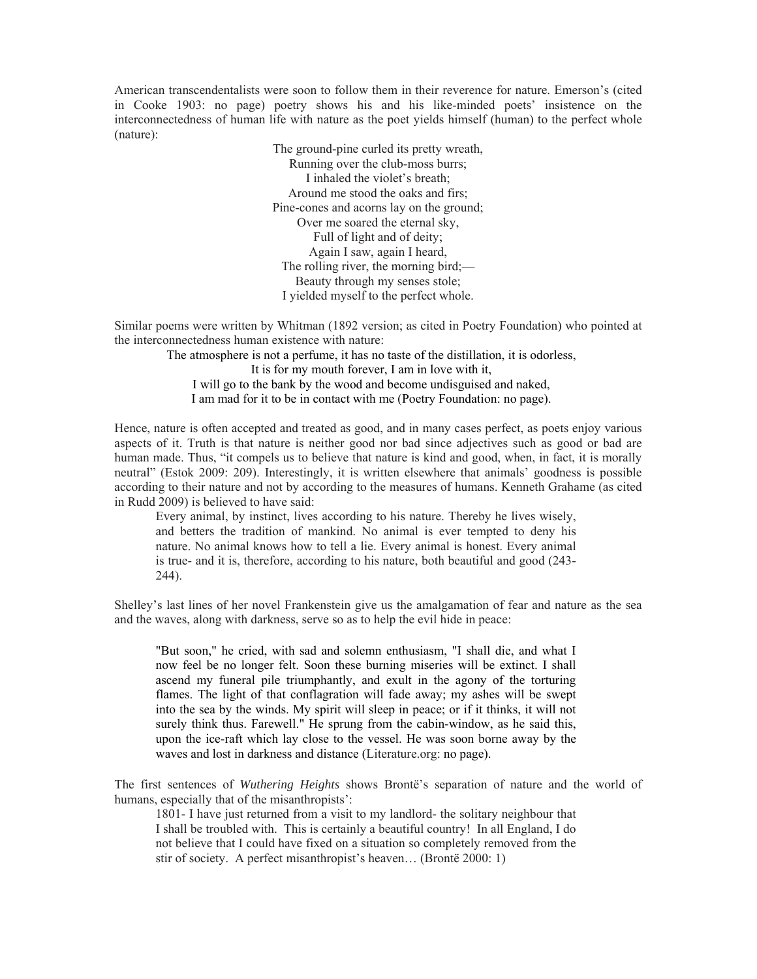American transcendentalists were soon to follow them in their reverence for nature. Emerson's (cited in Cooke 1903: no page) poetry shows his and his like-minded poets' insistence on the interconnectedness of human life with nature as the poet yields himself (human) to the perfect whole (nature):

> The ground-pine curled its pretty wreath, Running over the club-moss burrs; I inhaled the violet's breath; Around me stood the oaks and firs; Pine-cones and acorns lay on the ground; Over me soared the eternal sky, Full of light and of deity; Again I saw, again I heard, The rolling river, the morning bird;— Beauty through my senses stole; I yielded myself to the perfect whole.

Similar poems were written by Whitman (1892 version; as cited in Poetry Foundation) who pointed at the interconnectedness human existence with nature:

The atmosphere is not a perfume, it has no taste of the distillation, it is odorless, It is for my mouth forever, I am in love with it, I will go to the bank by the wood and become undisguised and naked, I am mad for it to be in contact with me (Poetry Foundation: no page).

Hence, nature is often accepted and treated as good, and in many cases perfect, as poets enjoy various aspects of it. Truth is that nature is neither good nor bad since adjectives such as good or bad are human made. Thus, "it compels us to believe that nature is kind and good, when, in fact, it is morally neutral" (Estok 2009: 209). Interestingly, it is written elsewhere that animals' goodness is possible according to their nature and not by according to the measures of humans. Kenneth Grahame (as cited in Rudd 2009) is believed to have said:

Every animal, by instinct, lives according to his nature. Thereby he lives wisely, and betters the tradition of mankind. No animal is ever tempted to deny his nature. No animal knows how to tell a lie. Every animal is honest. Every animal is true- and it is, therefore, according to his nature, both beautiful and good (243- 244).

Shelley's last lines of her novel Frankenstein give us the amalgamation of fear and nature as the sea and the waves, along with darkness, serve so as to help the evil hide in peace:

"But soon," he cried, with sad and solemn enthusiasm, "I shall die, and what I now feel be no longer felt. Soon these burning miseries will be extinct. I shall ascend my funeral pile triumphantly, and exult in the agony of the torturing flames. The light of that conflagration will fade away; my ashes will be swept into the sea by the winds. My spirit will sleep in peace; or if it thinks, it will not surely think thus. Farewell." He sprung from the cabin-window, as he said this, upon the ice-raft which lay close to the vessel. He was soon borne away by the waves and lost in darkness and distance (Literature.org: no page).

The first sentences of *Wuthering Heights* shows Brontë's separation of nature and the world of humans, especially that of the misanthropists':

1801- I have just returned from a visit to my landlord- the solitary neighbour that I shall be troubled with. This is certainly a beautiful country! In all England, I do not believe that I could have fixed on a situation so completely removed from the stir of society. A perfect misanthropist's heaven… (Brontë 2000: 1)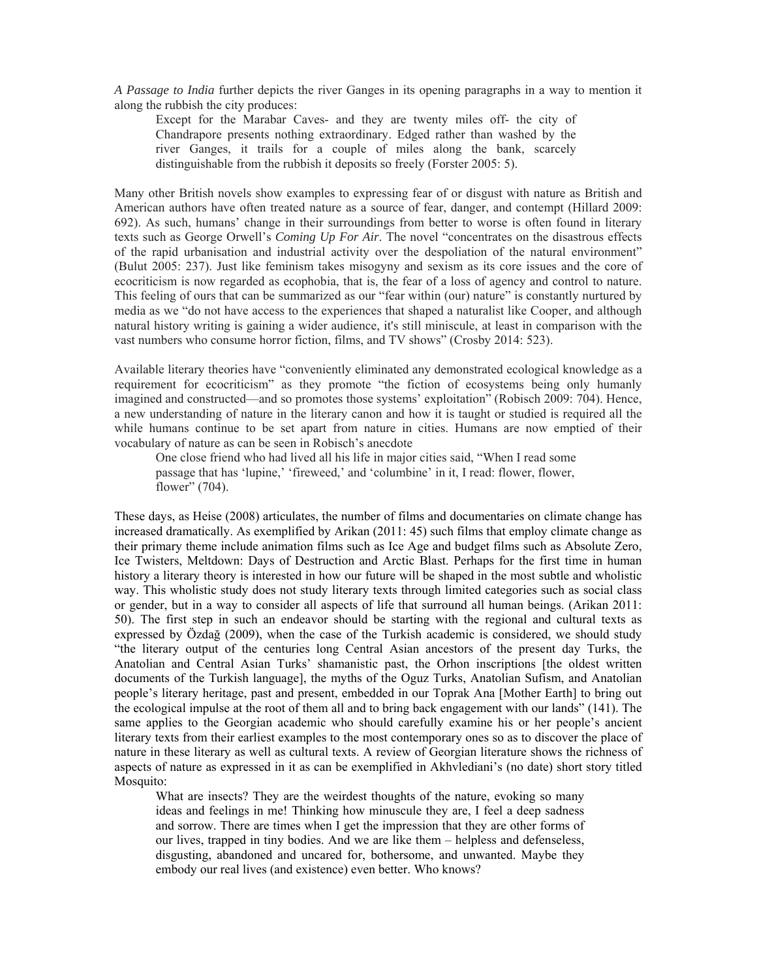*A Passage to India* further depicts the river Ganges in its opening paragraphs in a way to mention it along the rubbish the city produces:

Except for the Marabar Caves- and they are twenty miles off- the city of Chandrapore presents nothing extraordinary. Edged rather than washed by the river Ganges, it trails for a couple of miles along the bank, scarcely distinguishable from the rubbish it deposits so freely (Forster 2005: 5).

Many other British novels show examples to expressing fear of or disgust with nature as British and American authors have often treated nature as a source of fear, danger, and contempt (Hillard 2009: 692). As such, humans' change in their surroundings from better to worse is often found in literary texts such as George Orwell's *Coming Up For Air*. The novel "concentrates on the disastrous effects of the rapid urbanisation and industrial activity over the despoliation of the natural environment" (Bulut 2005: 237). Just like feminism takes misogyny and sexism as its core issues and the core of ecocriticism is now regarded as ecophobia, that is, the fear of a loss of agency and control to nature. This feeling of ours that can be summarized as our "fear within (our) nature" is constantly nurtured by media as we "do not have access to the experiences that shaped a naturalist like Cooper, and although natural history writing is gaining a wider audience, it's still miniscule, at least in comparison with the vast numbers who consume horror fiction, films, and TV shows" (Crosby 2014: 523).

Available literary theories have "conveniently eliminated any demonstrated ecological knowledge as a requirement for ecocriticism" as they promote "the fiction of ecosystems being only humanly imagined and constructed—and so promotes those systems' exploitation" (Robisch 2009: 704). Hence, a new understanding of nature in the literary canon and how it is taught or studied is required all the while humans continue to be set apart from nature in cities. Humans are now emptied of their vocabulary of nature as can be seen in Robisch's anecdote

One close friend who had lived all his life in major cities said, "When I read some passage that has 'lupine,' 'fireweed,' and 'columbine' in it, I read: flower, flower, flower" (704).

These days, as Heise (2008) articulates, the number of films and documentaries on climate change has increased dramatically. As exemplified by Arikan (2011: 45) such films that employ climate change as their primary theme include animation films such as Ice Age and budget films such as Absolute Zero, Ice Twisters, Meltdown: Days of Destruction and Arctic Blast. Perhaps for the first time in human history a literary theory is interested in how our future will be shaped in the most subtle and wholistic way. This wholistic study does not study literary texts through limited categories such as social class or gender, but in a way to consider all aspects of life that surround all human beings. (Arikan 2011: 50). The first step in such an endeavor should be starting with the regional and cultural texts as expressed by Özdağ (2009), when the case of the Turkish academic is considered, we should study "the literary output of the centuries long Central Asian ancestors of the present day Turks, the Anatolian and Central Asian Turks' shamanistic past, the Orhon inscriptions [the oldest written documents of the Turkish language], the myths of the Oguz Turks, Anatolian Sufism, and Anatolian people's literary heritage, past and present, embedded in our Toprak Ana [Mother Earth] to bring out the ecological impulse at the root of them all and to bring back engagement with our lands" (141). The same applies to the Georgian academic who should carefully examine his or her people's ancient literary texts from their earliest examples to the most contemporary ones so as to discover the place of nature in these literary as well as cultural texts. A review of Georgian literature shows the richness of aspects of nature as expressed in it as can be exemplified in Akhvlediani's (no date) short story titled Mosquito:

What are insects? They are the weirdest thoughts of the nature, evoking so many ideas and feelings in me! Thinking how minuscule they are, I feel a deep sadness and sorrow. There are times when I get the impression that they are other forms of our lives, trapped in tiny bodies. And we are like them – helpless and defenseless, disgusting, abandoned and uncared for, bothersome, and unwanted. Maybe they embody our real lives (and existence) even better. Who knows?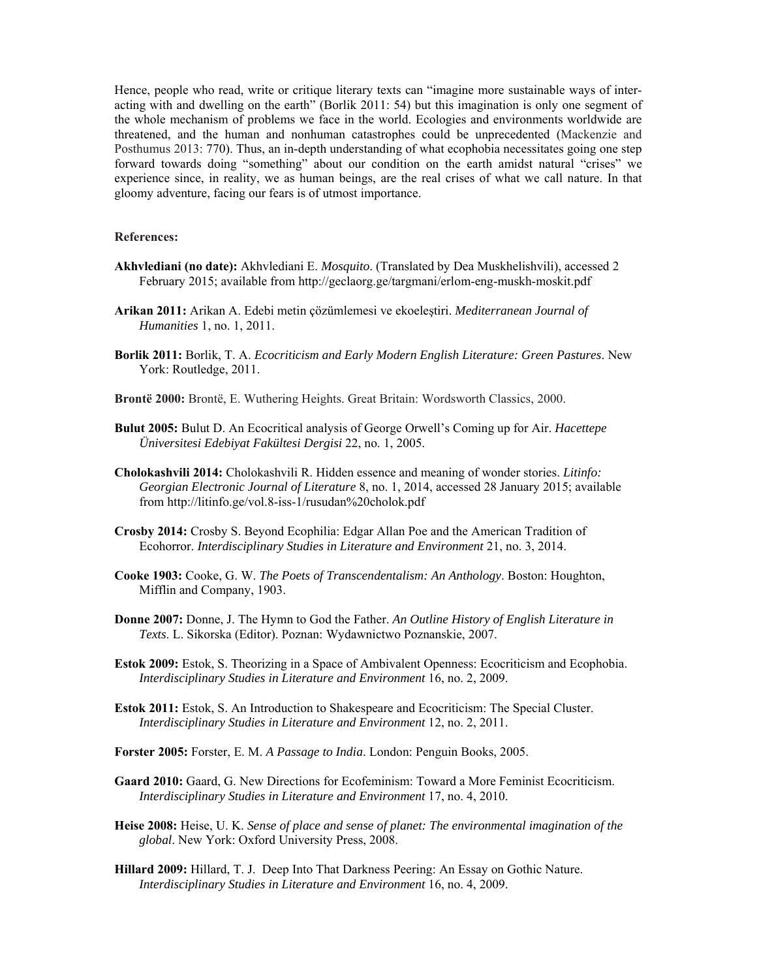Hence, people who read, write or critique literary texts can "imagine more sustainable ways of interacting with and dwelling on the earth" (Borlik 2011: 54) but this imagination is only one segment of the whole mechanism of problems we face in the world. Ecologies and environments worldwide are threatened, and the human and nonhuman catastrophes could be unprecedented (Mackenzie and Posthumus 2013: 770). Thus, an in-depth understanding of what ecophobia necessitates going one step forward towards doing "something" about our condition on the earth amidst natural "crises" we experience since, in reality, we as human beings, are the real crises of what we call nature. In that gloomy adventure, facing our fears is of utmost importance.

## **References:**

- **Akhvlediani (no date):** Akhvlediani E. *Mosquito*. (Translated by Dea Muskhelishvili), accessed 2 February 2015; available from http://geclaorg.ge/targmani/erlom-eng-muskh-moskit.pdf
- **Arikan 2011:** Arikan A. Edebi metin çözümlemesi ve ekoeleştiri. *Mediterranean Journal of Humanities* 1, no. 1, 2011.
- **Borlik 2011:** Borlik, T. A. *Ecocriticism and Early Modern English Literature: Green Pastures*. New York: Routledge, 2011.
- **Brontë 2000:** Brontë, E. Wuthering Heights. Great Britain: Wordsworth Classics, 2000.
- **Bulut 2005:** Bulut D. An Ecocritical analysis of George Orwell's Coming up for Air. *Hacettepe Üniversitesi Edebiyat Fakültesi Dergisi* 22, no. 1, 2005.
- **Cholokashvili 2014:** Cholokashvili R. Hidden essence and meaning of wonder stories. *Litinfo: Georgian Electronic Journal of Literature* 8, no. 1, 2014, accessed 28 January 2015; available from http://litinfo.ge/vol.8-iss-1/rusudan%20cholok.pdf
- **Crosby 2014:** Crosby S. Beyond Ecophilia: Edgar Allan Poe and the American Tradition of Ecohorror. *Interdisciplinary Studies in Literature and Environment* 21, no. 3, 2014.
- **Cooke 1903:** Cooke, G. W. *The Poets of Transcendentalism: An Anthology*. Boston: Houghton, Mifflin and Company, 1903.
- **Donne 2007:** Donne, J. The Hymn to God the Father. *An Outline History of English Literature in Texts*. L. Sikorska (Editor). Poznan: Wydawnictwo Poznanskie, 2007.
- **Estok 2009:** Estok, S. Theorizing in a Space of Ambivalent Openness: Ecocriticism and Ecophobia. *Interdisciplinary Studies in Literature and Environment* 16, no. 2, 2009.
- **Estok 2011:** Estok, S. An Introduction to Shakespeare and Ecocriticism: The Special Cluster. *Interdisciplinary Studies in Literature and Environment* 12, no. 2, 2011.
- **Forster 2005:** Forster, E. M. *A Passage to India*. London: Penguin Books, 2005.
- **Gaard 2010:** Gaard, G. New Directions for Ecofeminism: Toward a More Feminist Ecocriticism. *Interdisciplinary Studies in Literature and Environment* 17, no. 4, 2010.
- **Heise 2008:** Heise, U. K. *Sense of place and sense of planet: The environmental imagination of the global*. New York: Oxford University Press, 2008.
- **Hillard 2009:** Hillard, T. J. Deep Into That Darkness Peering: An Essay on Gothic Nature. *Interdisciplinary Studies in Literature and Environment* 16, no. 4, 2009.